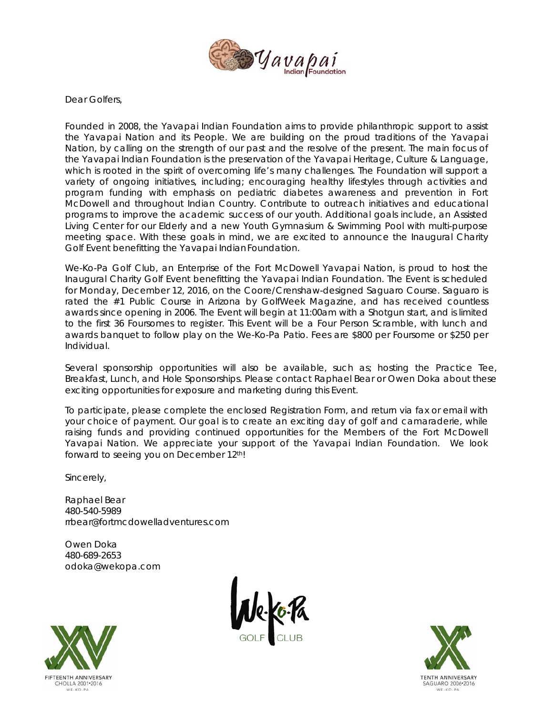

Dear Golfers,

Founded in 2008, the Yavapai Indian Foundation aims to provide philanthropic support to assist the Yavapai Nation and its People. We are building on the proud traditions of the Yavapai Nation, by calling on the strength of our past and the resolve of the present. The main focus of the Yavapai Indian Foundation is the preservation of the Yavapai Heritage, Culture & Language, which is rooted in the spirit of overcoming life's many challenges. The Foundation will support a variety of ongoing initiatives, including; encouraging healthy lifestyles through activities and program funding with emphasis on pediatric diabetes awareness and prevention in Fort McDowell and throughout Indian Country. Contribute to outreach initiatives and educational programs to improve the academic success of our youth. Additional goals include, an Assisted Living Center for our Elderly and a new Youth Gymnasium & Swimming Pool with multi-purpose meeting space. With these goals in mind, we are excited to announce the Inaugural Charity Golf Event benefitting the Yavapai Indian Foundation.

We-Ko-Pa Golf Club, an Enterprise of the Fort McDowell Yavapai Nation, is proud to host the Inaugural Charity Golf Event benefitting the Yavapai Indian Foundation. The Event is scheduled for Monday, December 12, 2016, on the Coore/Crenshaw-designed Saguaro Course. Saguaro is rated the #1 Public Course in Arizona by GolfWeek Magazine, and has received countless awards since opening in 2006. The Event will begin at 11:00am with a Shotgun start, and is limited to the first 36 Foursomes to register. This Event will be a Four Person Scramble, with lunch and awards banquet to follow play on the We-Ko-Pa Patio. Fees are \$800 per Foursome or \$250 per Individual.

Several sponsorship opportunities will also be available, such as; hosting the Practice Tee, Breakfast, Lunch, and Hole Sponsorships. Please contact Raphael Bear or Owen Doka about these exciting opportunities for exposure and marketing during this Event.

To participate, please complete the enclosed Registration Form, and return via fax or email with your choice of payment. Our goal is to create an exciting day of golf and camaraderie, while raising funds and providing continued opportunities for the Members of the Fort McDowell Yavapai Nation. We appreciate your support of the Yavapai Indian Foundation. We look forward to seeing you on December 12th!

Sincerely,

Raphael Bear 480-540-5989 rrbear@fortmcdowelladventures.com

Owen Doka 480-689-2653 odoka@wekopa.com